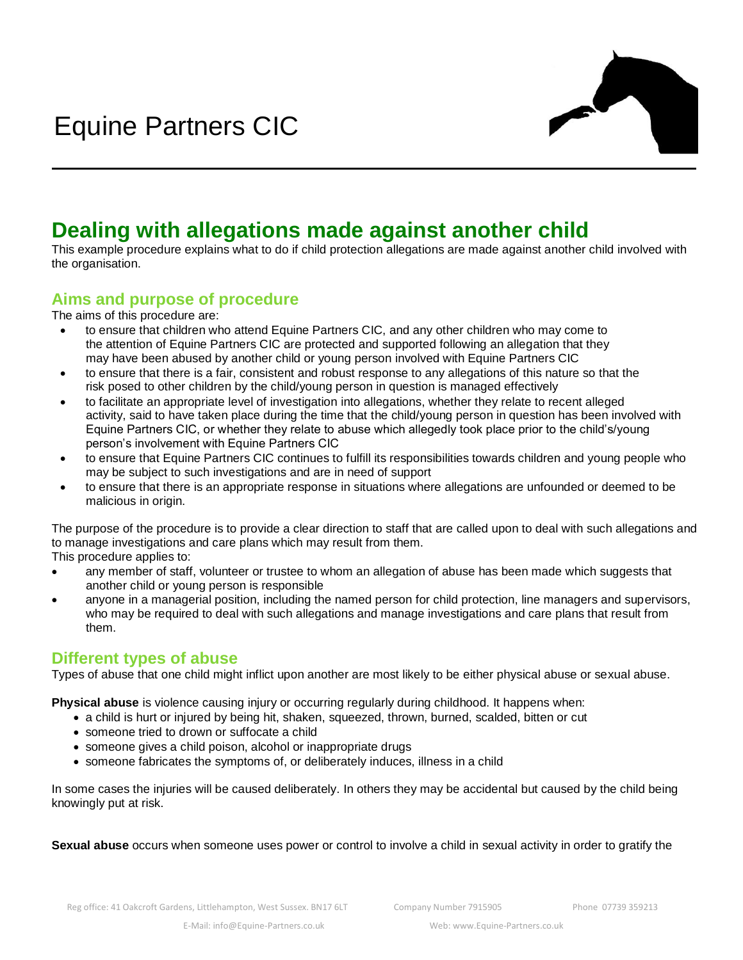

# **Dealing with allegations made against another child**

This example procedure explains what to do if child protection allegations are made against another child involved with the organisation.

# **Aims and purpose of procedure**

The aims of this procedure are:

- to ensure that children who attend Equine Partners CIC, and any other children who may come to the attention of Equine Partners CIC are protected and supported following an allegation that they may have been abused by another child or young person involved with Equine Partners CIC
- to ensure that there is a fair, consistent and robust response to any allegations of this nature so that the risk posed to other children by the child/young person in question is managed effectively
- to facilitate an appropriate level of investigation into allegations, whether they relate to recent alleged activity, said to have taken place during the time that the child/young person in question has been involved with Equine Partners CIC, or whether they relate to abuse which allegedly took place prior to the child's/young person's involvement with Equine Partners CIC
- to ensure that Equine Partners CIC continues to fulfill its responsibilities towards children and young people who may be subject to such investigations and are in need of support
- to ensure that there is an appropriate response in situations where allegations are unfounded or deemed to be malicious in origin.

The purpose of the procedure is to provide a clear direction to staff that are called upon to deal with such allegations and to manage investigations and care plans which may result from them.

This procedure applies to:

- any member of staff, volunteer or trustee to whom an allegation of abuse has been made which suggests that another child or young person is responsible
- anyone in a managerial position, including the named person for child protection, line managers and supervisors, who may be required to deal with such allegations and manage investigations and care plans that result from them.

### **Different types of abuse**

Types of abuse that one child might inflict upon another are most likely to be either physical abuse or sexual abuse.

**Physical abuse** is violence causing injury or occurring regularly during childhood. It happens when:

- a child is hurt or injured by being hit, shaken, squeezed, thrown, burned, scalded, bitten or cut
- someone tried to drown or suffocate a child
- someone gives a child poison, alcohol or inappropriate drugs
- someone fabricates the symptoms of, or deliberately induces, illness in a child

In some cases the injuries will be caused deliberately. In others they may be accidental but caused by the child being knowingly put at risk.

**Sexual abuse** occurs when someone uses power or control to involve a child in sexual activity in order to gratify the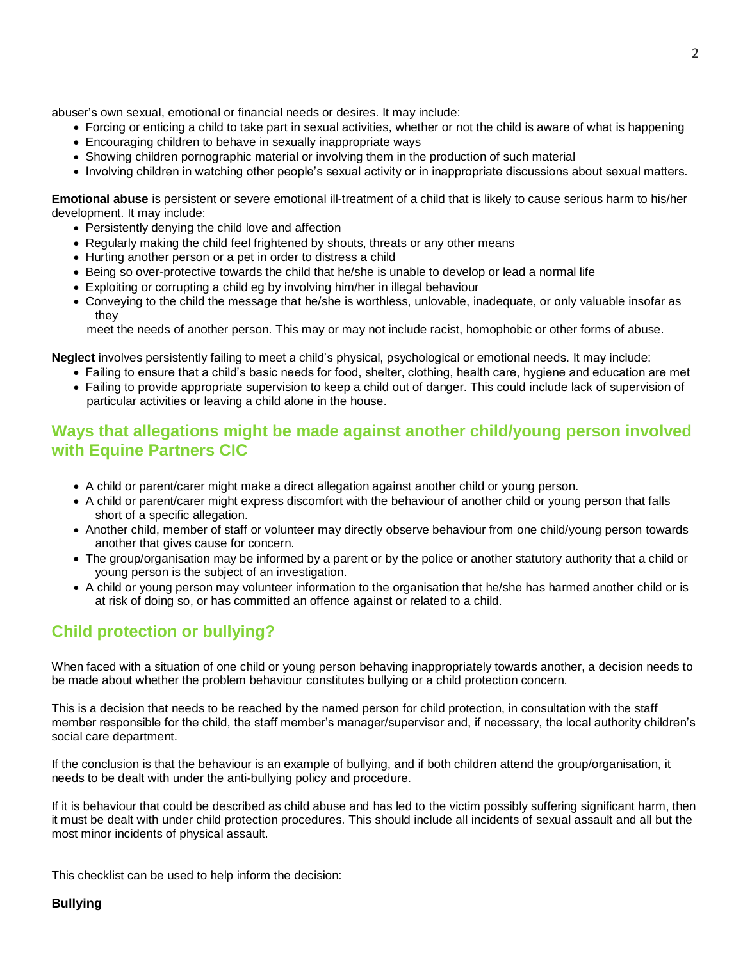abuser's own sexual, emotional or financial needs or desires. It may include:

- Forcing or enticing a child to take part in sexual activities, whether or not the child is aware of what is happening
- Encouraging children to behave in sexually inappropriate ways
- Showing children pornographic material or involving them in the production of such material
- Involving children in watching other people's sexual activity or in inappropriate discussions about sexual matters.

**Emotional abuse** is persistent or severe emotional ill-treatment of a child that is likely to cause serious harm to his/her development. It may include:

- Persistently denying the child love and affection
- Regularly making the child feel frightened by shouts, threats or any other means
- Hurting another person or a pet in order to distress a child
- Being so over-protective towards the child that he/she is unable to develop or lead a normal life
- Exploiting or corrupting a child eg by involving him/her in illegal behaviour
- Conveying to the child the message that he/she is worthless, unlovable, inadequate, or only valuable insofar as they

meet the needs of another person. This may or may not include racist, homophobic or other forms of abuse.

**Neglect** involves persistently failing to meet a child's physical, psychological or emotional needs. It may include:

• Failing to ensure that a child's basic needs for food, shelter, clothing, health care, hygiene and education are met • Failing to provide appropriate supervision to keep a child out of danger. This could include lack of supervision of particular activities or leaving a child alone in the house.

## **Ways that allegations might be made against another child/young person involved with Equine Partners CIC**

- A child or parent/carer might make a direct allegation against another child or young person.
- A child or parent/carer might express discomfort with the behaviour of another child or young person that falls short of a specific allegation.
- Another child, member of staff or volunteer may directly observe behaviour from one child/young person towards another that gives cause for concern.
- The group/organisation may be informed by a parent or by the police or another statutory authority that a child or young person is the subject of an investigation.
- A child or young person may volunteer information to the organisation that he/she has harmed another child or is at risk of doing so, or has committed an offence against or related to a child.

# **Child protection or bullying?**

When faced with a situation of one child or young person behaving inappropriately towards another, a decision needs to be made about whether the problem behaviour constitutes bullying or a child protection concern.

This is a decision that needs to be reached by the named person for child protection, in consultation with the staff member responsible for the child, the staff member's manager/supervisor and, if necessary, the local authority children's social care department.

If the conclusion is that the behaviour is an example of bullying, and if both children attend the group/organisation, it needs to be dealt with under the anti-bullying policy and procedure.

If it is behaviour that could be described as child abuse and has led to the victim possibly suffering significant harm, then it must be dealt with under child protection procedures. This should include all incidents of sexual assault and all but the most minor incidents of physical assault.

This checklist can be used to help inform the decision:

#### **Bullying**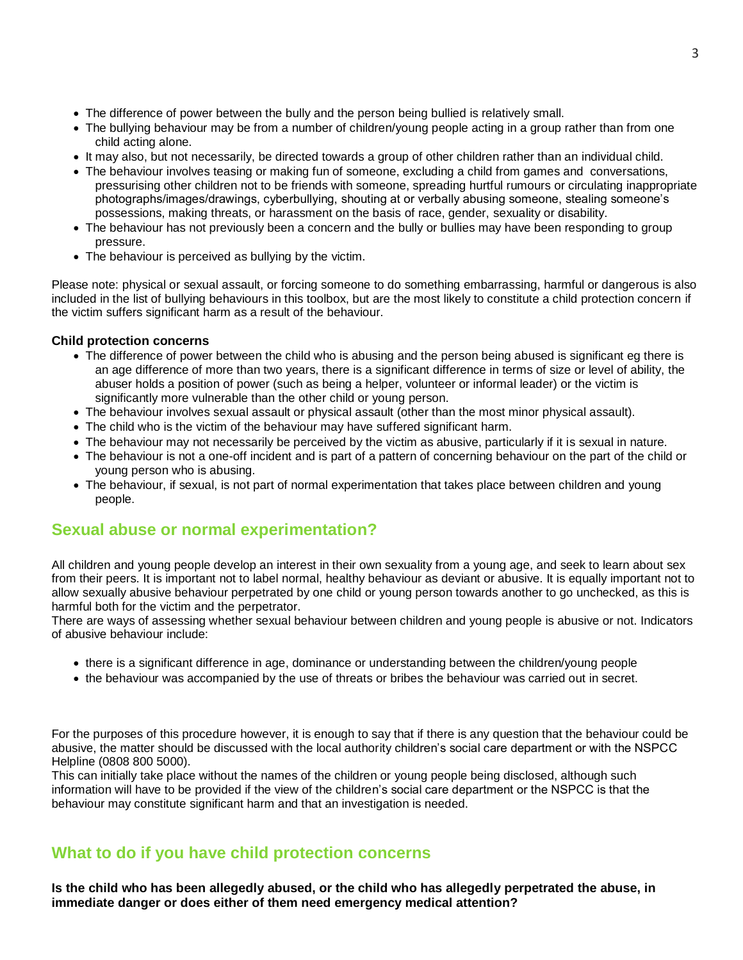- The difference of power between the bully and the person being bullied is relatively small.
- The bullying behaviour may be from a number of children/young people acting in a group rather than from one child acting alone.
- It may also, but not necessarily, be directed towards a group of other children rather than an individual child.
- The behaviour involves teasing or making fun of someone, excluding a child from games and conversations, pressurising other children not to be friends with someone, spreading hurtful rumours or circulating inappropriate photographs/images/drawings, cyberbullying, shouting at or verbally abusing someone, stealing someone's possessions, making threats, or harassment on the basis of race, gender, sexuality or disability.
- The behaviour has not previously been a concern and the bully or bullies may have been responding to group pressure.
- The behaviour is perceived as bullying by the victim.

Please note: physical or sexual assault, or forcing someone to do something embarrassing, harmful or dangerous is also included in the list of bullying behaviours in this toolbox, but are the most likely to constitute a child protection concern if the victim suffers significant harm as a result of the behaviour.

#### **Child protection concerns**

- The difference of power between the child who is abusing and the person being abused is significant eg there is an age difference of more than two years, there is a significant difference in terms of size or level of ability, the abuser holds a position of power (such as being a helper, volunteer or informal leader) or the victim is significantly more vulnerable than the other child or young person.
- The behaviour involves sexual assault or physical assault (other than the most minor physical assault).
- The child who is the victim of the behaviour may have suffered significant harm.
- The behaviour may not necessarily be perceived by the victim as abusive, particularly if it is sexual in nature.
- The behaviour is not a one-off incident and is part of a pattern of concerning behaviour on the part of the child or young person who is abusing.
- The behaviour, if sexual, is not part of normal experimentation that takes place between children and young people.

### **Sexual abuse or normal experimentation?**

All children and young people develop an interest in their own sexuality from a young age, and seek to learn about sex from their peers. It is important not to label normal, healthy behaviour as deviant or abusive. It is equally important not to allow sexually abusive behaviour perpetrated by one child or young person towards another to go unchecked, as this is harmful both for the victim and the perpetrator.

There are ways of assessing whether sexual behaviour between children and young people is abusive or not. Indicators of abusive behaviour include:

- there is a significant difference in age, dominance or understanding between the children/young people
- the behaviour was accompanied by the use of threats or bribes the behaviour was carried out in secret.

For the purposes of this procedure however, it is enough to say that if there is any question that the behaviour could be abusive, the matter should be discussed with the local authority children's social care department or with the NSPCC Helpline (0808 800 5000).

This can initially take place without the names of the children or young people being disclosed, although such information will have to be provided if the view of the children's social care department or the NSPCC is that the behaviour may constitute significant harm and that an investigation is needed.

### **What to do if you have child protection concerns**

**Is the child who has been allegedly abused, or the child who has allegedly perpetrated the abuse, in immediate danger or does either of them need emergency medical attention?**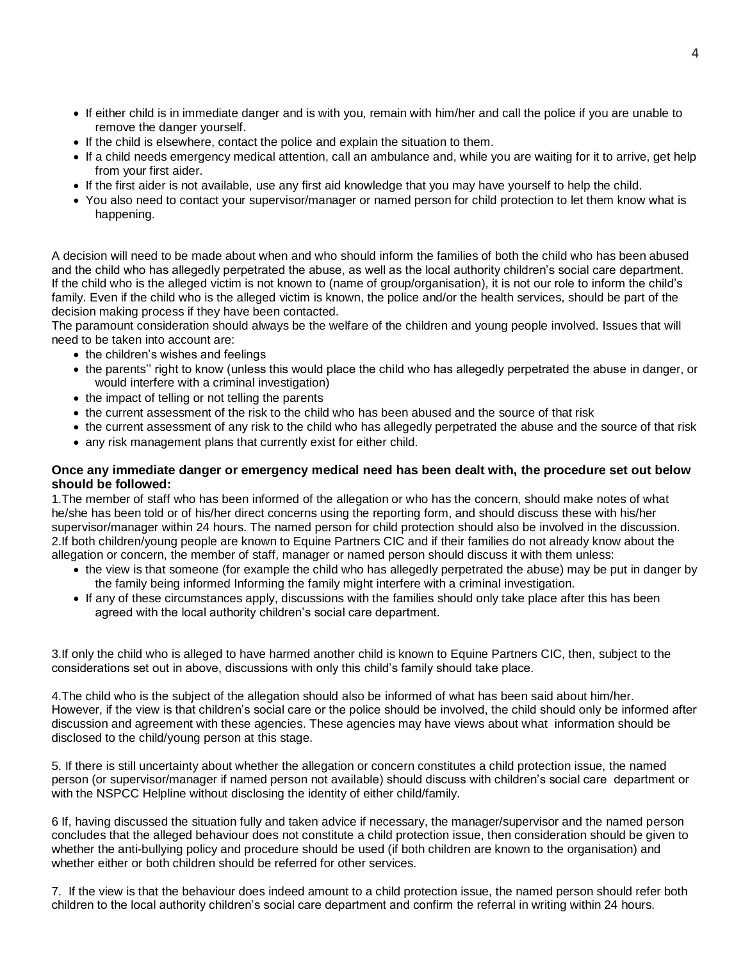- If either child is in immediate danger and is with you, remain with him/her and call the police if you are unable to remove the danger yourself.
- If the child is elsewhere, contact the police and explain the situation to them.
- If a child needs emergency medical attention, call an ambulance and, while you are waiting for it to arrive, get help from your first aider.
- If the first aider is not available, use any first aid knowledge that you may have yourself to help the child.
- You also need to contact your supervisor/manager or named person for child protection to let them know what is happening.

A decision will need to be made about when and who should inform the families of both the child who has been abused and the child who has allegedly perpetrated the abuse, as well as the local authority children's social care department. If the child who is the alleged victim is not known to (name of group/organisation), it is not our role to inform the child's family. Even if the child who is the alleged victim is known, the police and/or the health services, should be part of the decision making process if they have been contacted.

The paramount consideration should always be the welfare of the children and young people involved. Issues that will need to be taken into account are:

- the children's wishes and feelings
- the parents'' right to know (unless this would place the child who has allegedly perpetrated the abuse in danger, or would interfere with a criminal investigation)
- the impact of telling or not telling the parents
- the current assessment of the risk to the child who has been abused and the source of that risk
- the current assessment of any risk to the child who has allegedly perpetrated the abuse and the source of that risk
- any risk management plans that currently exist for either child.

#### **Once any immediate danger or emergency medical need has been dealt with, the procedure set out below should be followed:**

1.The member of staff who has been informed of the allegation or who has the concern, should make notes of what he/she has been told or of his/her direct concerns using the reporting form, and should discuss these with his/her supervisor/manager within 24 hours. The named person for child protection should also be involved in the discussion. 2.If both children/young people are known to Equine Partners CIC and if their families do not already know about the allegation or concern, the member of staff, manager or named person should discuss it with them unless:

- the view is that someone (for example the child who has allegedly perpetrated the abuse) may be put in danger by the family being informed Informing the family might interfere with a criminal investigation.
- If any of these circumstances apply, discussions with the families should only take place after this has been agreed with the local authority children's social care department.

3.If only the child who is alleged to have harmed another child is known to Equine Partners CIC, then, subject to the considerations set out in above, discussions with only this child's family should take place.

4.The child who is the subject of the allegation should also be informed of what has been said about him/her. However, if the view is that children's social care or the police should be involved, the child should only be informed after discussion and agreement with these agencies. These agencies may have views about what information should be disclosed to the child/young person at this stage.

5. If there is still uncertainty about whether the allegation or concern constitutes a child protection issue, the named person (or supervisor/manager if named person not available) should discuss with children's social care department or with the NSPCC Helpline without disclosing the identity of either child/family.

6 If, having discussed the situation fully and taken advice if necessary, the manager/supervisor and the named person concludes that the alleged behaviour does not constitute a child protection issue, then consideration should be given to whether the anti-bullying policy and procedure should be used (if both children are known to the organisation) and whether either or both children should be referred for other services.

7. If the view is that the behaviour does indeed amount to a child protection issue, the named person should refer both children to the local authority children's social care department and confirm the referral in writing within 24 hours.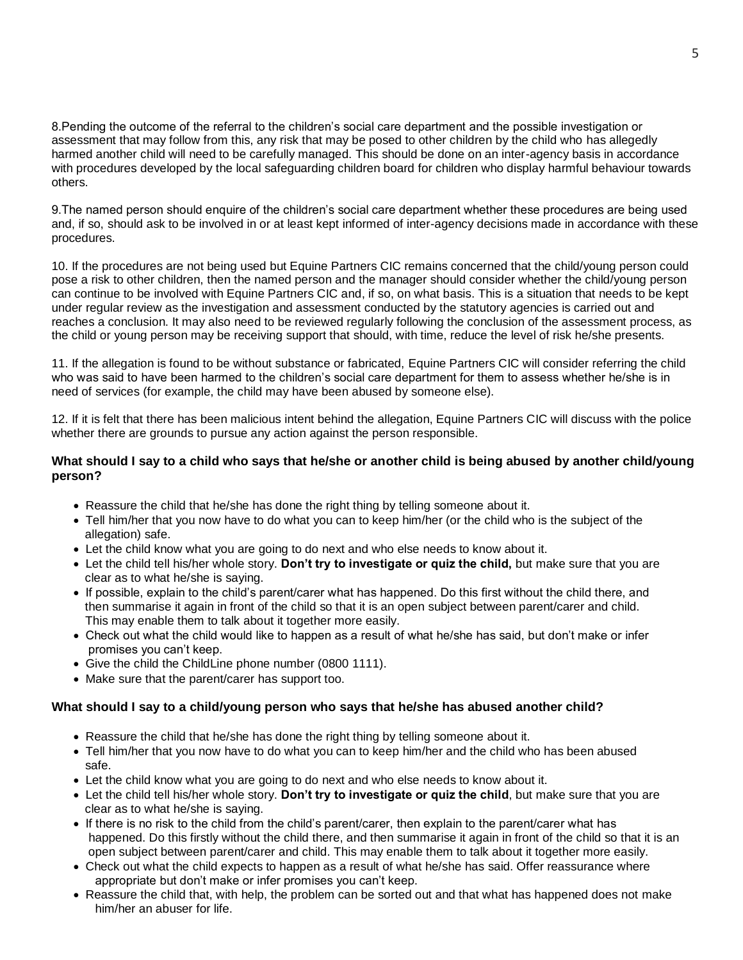8.Pending the outcome of the referral to the children's social care department and the possible investigation or assessment that may follow from this, any risk that may be posed to other children by the child who has allegedly harmed another child will need to be carefully managed. This should be done on an inter-agency basis in accordance with procedures developed by the local safeguarding children board for children who display harmful behaviour towards others.

9.The named person should enquire of the children's social care department whether these procedures are being used and, if so, should ask to be involved in or at least kept informed of inter-agency decisions made in accordance with these procedures.

10. If the procedures are not being used but Equine Partners CIC remains concerned that the child/young person could pose a risk to other children, then the named person and the manager should consider whether the child/young person can continue to be involved with Equine Partners CIC and, if so, on what basis. This is a situation that needs to be kept under regular review as the investigation and assessment conducted by the statutory agencies is carried out and reaches a conclusion. It may also need to be reviewed regularly following the conclusion of the assessment process, as the child or young person may be receiving support that should, with time, reduce the level of risk he/she presents.

11. If the allegation is found to be without substance or fabricated, Equine Partners CIC will consider referring the child who was said to have been harmed to the children's social care department for them to assess whether he/she is in need of services (for example, the child may have been abused by someone else).

12. If it is felt that there has been malicious intent behind the allegation, Equine Partners CIC will discuss with the police whether there are grounds to pursue any action against the person responsible.

#### **What should I say to a child who says that he/she or another child is being abused by another child/young person?**

- Reassure the child that he/she has done the right thing by telling someone about it.
- Tell him/her that you now have to do what you can to keep him/her (or the child who is the subject of the allegation) safe.
- Let the child know what you are going to do next and who else needs to know about it.
- Let the child tell his/her whole story. **Don't try to investigate or quiz the child,** but make sure that you are clear as to what he/she is saying.
- If possible, explain to the child's parent/carer what has happened. Do this first without the child there, and then summarise it again in front of the child so that it is an open subject between parent/carer and child. This may enable them to talk about it together more easily.
- Check out what the child would like to happen as a result of what he/she has said, but don't make or infer promises you can't keep.
- Give the child the ChildLine phone number (0800 1111).
- Make sure that the parent/carer has support too.

#### **What should I say to a child/young person who says that he/she has abused another child?**

- Reassure the child that he/she has done the right thing by telling someone about it.
- Tell him/her that you now have to do what you can to keep him/her and the child who has been abused safe.
- Let the child know what you are going to do next and who else needs to know about it.
- Let the child tell his/her whole story. **Don't try to investigate or quiz the child**, but make sure that you are clear as to what he/she is saying.
- If there is no risk to the child from the child's parent/carer, then explain to the parent/carer what has happened. Do this firstly without the child there, and then summarise it again in front of the child so that it is an open subject between parent/carer and child. This may enable them to talk about it together more easily.
- Check out what the child expects to happen as a result of what he/she has said. Offer reassurance where appropriate but don't make or infer promises you can't keep.
- Reassure the child that, with help, the problem can be sorted out and that what has happened does not make him/her an abuser for life.